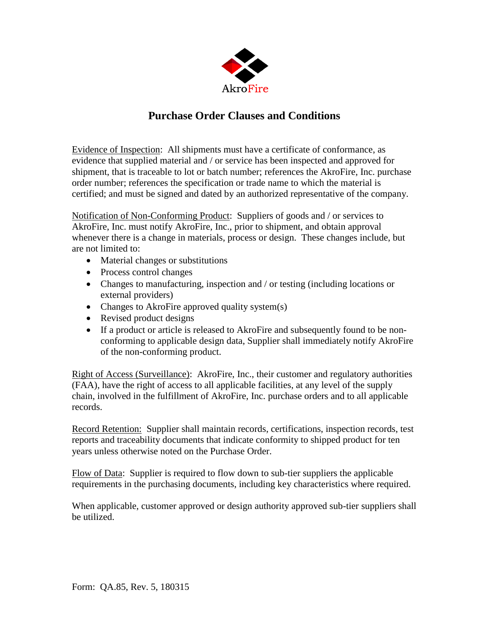

## **Purchase Order Clauses and Conditions**

Evidence of Inspection: All shipments must have a certificate of conformance, as evidence that supplied material and / or service has been inspected and approved for shipment, that is traceable to lot or batch number; references the AkroFire, Inc. purchase order number; references the specification or trade name to which the material is certified; and must be signed and dated by an authorized representative of the company.

Notification of Non-Conforming Product: Suppliers of goods and / or services to AkroFire, Inc. must notify AkroFire, Inc., prior to shipment, and obtain approval whenever there is a change in materials, process or design. These changes include, but are not limited to:

- Material changes or substitutions
- Process control changes
- Changes to manufacturing, inspection and / or testing (including locations or external providers)
- Changes to AkroFire approved quality system(s)
- Revised product designs
- If a product or article is released to AkroFire and subsequently found to be nonconforming to applicable design data, Supplier shall immediately notify AkroFire of the non-conforming product.

Right of Access (Surveillance): AkroFire, Inc., their customer and regulatory authorities (FAA), have the right of access to all applicable facilities, at any level of the supply chain, involved in the fulfillment of AkroFire, Inc. purchase orders and to all applicable records.

Record Retention: Supplier shall maintain records, certifications, inspection records, test reports and traceability documents that indicate conformity to shipped product for ten years unless otherwise noted on the Purchase Order.

Flow of Data: Supplier is required to flow down to sub-tier suppliers the applicable requirements in the purchasing documents, including key characteristics where required.

When applicable, customer approved or design authority approved sub-tier suppliers shall be utilized.